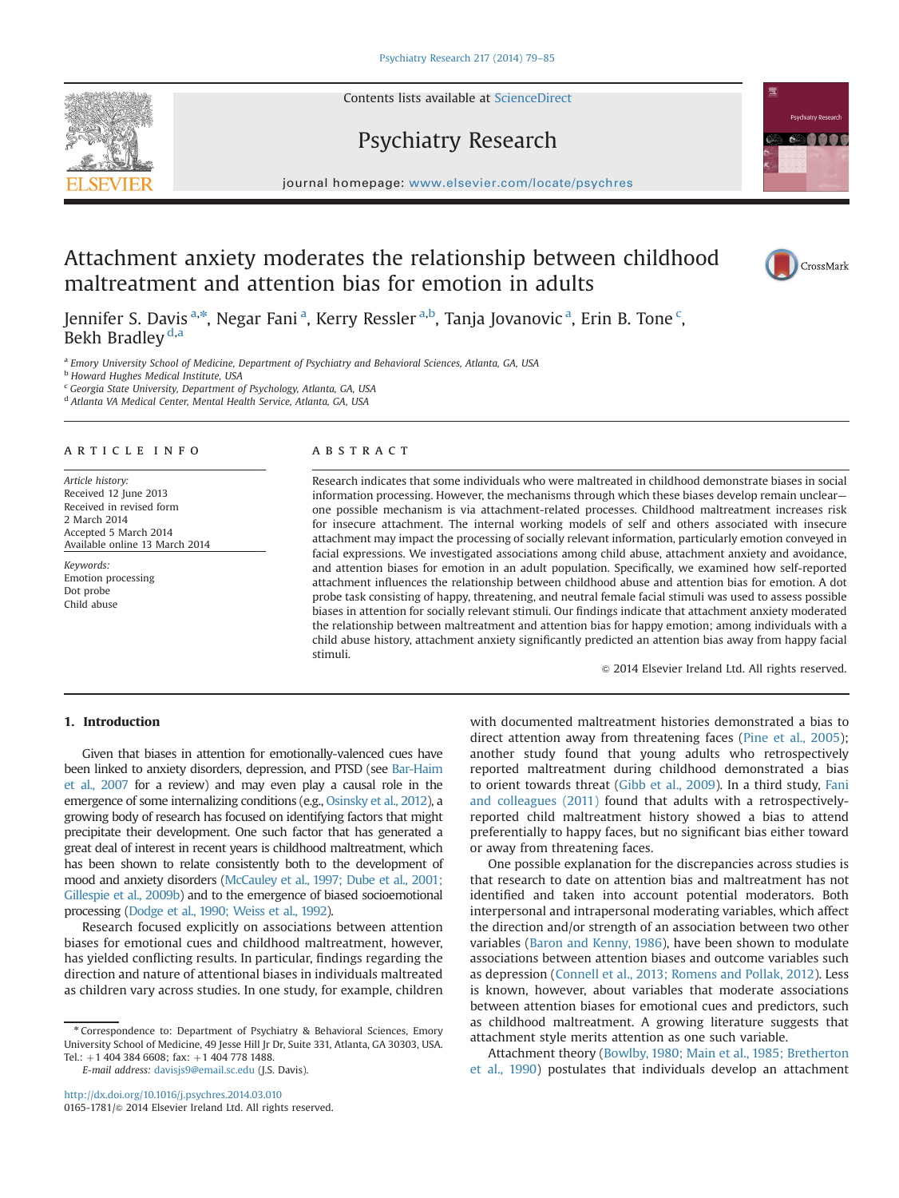Contents lists available at [ScienceDirect](www.sciencedirect.com/science/journal/01651781)

# Psychiatry Research

journal homepage: <www.elsevier.com/locate/psychres>

# Attachment anxiety moderates the relationship between childhood maltreatment and attention bias for emotion in adults

Jennifer S. Davis <sup>a,\*</sup>, Negar Fani <sup>a</sup>, Kerry Ressler <sup>a,b</sup>, Tanja Jovanovic <sup>a</sup>, Erin B. Tone <sup>c</sup>, Bekh Bradley<sup>d,a</sup>

a Emory University School of Medicine, Department of Psychiatry and Behavioral Sciences, Atlanta, GA, USA

**b** Howard Hughes Medical Institute, USA

<sup>c</sup> Georgia State University, Department of Psychology, Atlanta, GA, USA

<sup>d</sup> Atlanta VA Medical Center, Mental Health Service, Atlanta, GA, USA

## article info

Article history: Received 12 June 2013 Received in revised form 2 March 2014 Accepted 5 March 2014 Available online 13 March 2014

Keywords: Emotion processing Dot probe Child abuse

# ABSTRACT

Research indicates that some individuals who were maltreated in childhood demonstrate biases in social information processing. However, the mechanisms through which these biases develop remain unclear one possible mechanism is via attachment-related processes. Childhood maltreatment increases risk for insecure attachment. The internal working models of self and others associated with insecure attachment may impact the processing of socially relevant information, particularly emotion conveyed in facial expressions. We investigated associations among child abuse, attachment anxiety and avoidance, and attention biases for emotion in an adult population. Specifically, we examined how self-reported attachment influences the relationship between childhood abuse and attention bias for emotion. A dot probe task consisting of happy, threatening, and neutral female facial stimuli was used to assess possible biases in attention for socially relevant stimuli. Our findings indicate that attachment anxiety moderated the relationship between maltreatment and attention bias for happy emotion; among individuals with a child abuse history, attachment anxiety significantly predicted an attention bias away from happy facial stimuli.

 $\odot$  2014 Elsevier Ireland Ltd. All rights reserved.

# 1. Introduction

Given that biases in attention for emotionally-valenced cues have been linked to anxiety disorders, depression, and PTSD (see Bar-Haim et al., 2007 for a review) and may even play a causal role in the emergence of some internalizing conditions (e.g., Osinsky et al., 2012), a growing body of research has focused on identifying factors that might precipitate their development. One such factor that has generated a great deal of interest in recent years is childhood maltreatment, which has been shown to relate consistently both to the development of mood and anxiety disorders (McCauley et al., 1997; Dube et al., 2001; Gillespie et al., 2009b) and to the emergence of biased socioemotional processing (Dodge et al., 1990; Weiss et al., 1992).

Research focused explicitly on associations between attention biases for emotional cues and childhood maltreatment, however, has yielded conflicting results. In particular, findings regarding the direction and nature of attentional biases in individuals maltreated as children vary across studies. In one study, for example, children

E-mail address: [davisjs9@email.sc.edu](mailto:davisjs9@email.sc.edu) (J.S. Davis).

with documented maltreatment histories demonstrated a bias to direct attention away from threatening faces (Pine et al., 2005); another study found that young adults who retrospectively reported maltreatment during childhood demonstrated a bias to orient towards threat (Gibb et al., 2009). In a third study, Fani and colleagues (2011) found that adults with a retrospectivelyreported child maltreatment history showed a bias to attend preferentially to happy faces, but no significant bias either toward or away from threatening faces.

One possible explanation for the discrepancies across studies is that research to date on attention bias and maltreatment has not identified and taken into account potential moderators. Both interpersonal and intrapersonal moderating variables, which affect the direction and/or strength of an association between two other variables (Baron and Kenny, 1986), have been shown to modulate associations between attention biases and outcome variables such as depression (Connell et al., 2013; Romens and Pollak, 2012). Less is known, however, about variables that moderate associations between attention biases for emotional cues and predictors, such as childhood maltreatment. A growing literature suggests that attachment style merits attention as one such variable.

Attachment theory (Bowlby, 1980; Main et al., 1985; Bretherton et al., 1990) postulates that individuals develop an attachment





CrossMark

<sup>n</sup> Correspondence to: Department of Psychiatry & Behavioral Sciences, Emory University School of Medicine, 49 Jesse Hill Jr Dr, Suite 331, Atlanta, GA 30303, USA. Tel.:  $+1$  404 384 6608; fax:  $+1$  404 778 1488.

<http://dx.doi.org/10.1016/j.psychres.2014.03.010> 0165-1781/© 2014 Elsevier Ireland Ltd. All rights reserved.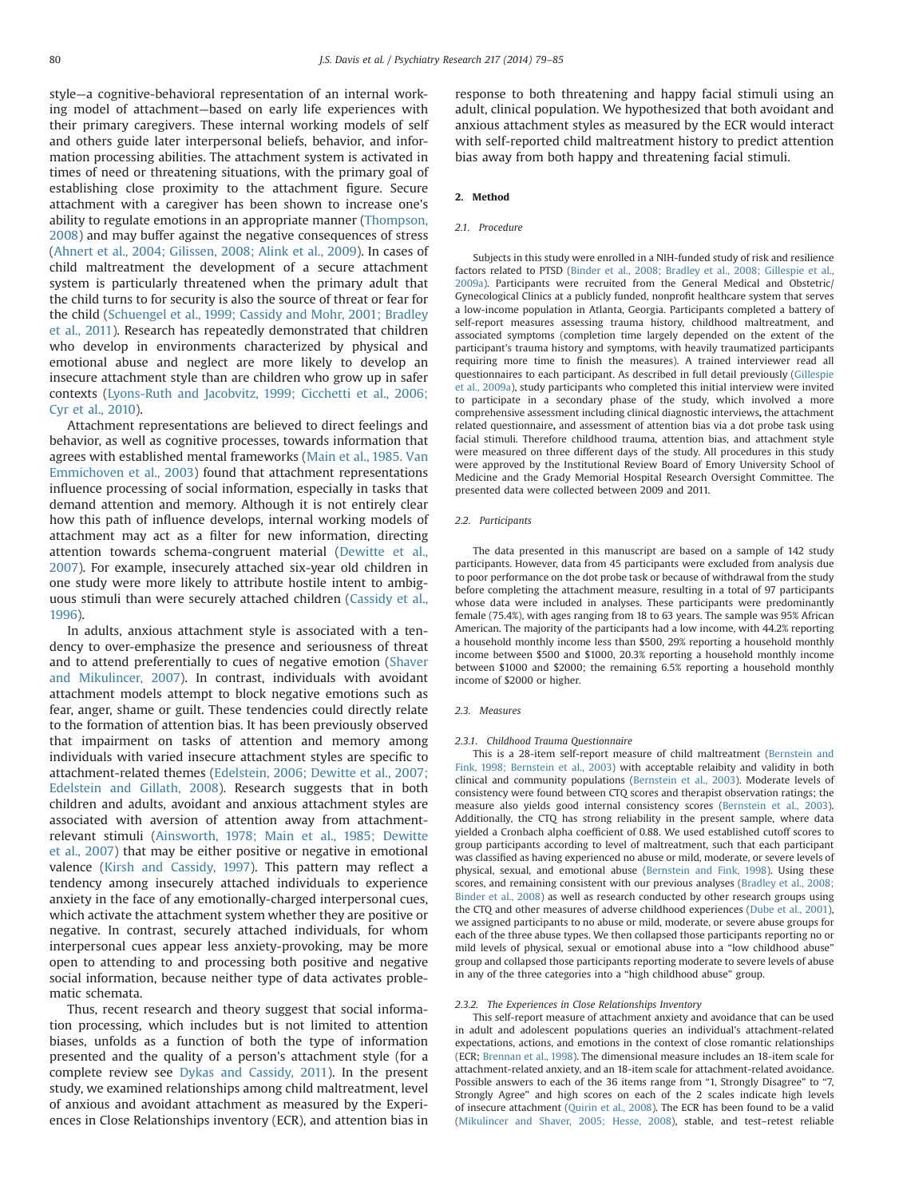style—a cognitive-behavioral representation of an internal working model of attachment—based on early life experiences with their primary caregivers. These internal working models of self and others guide later interpersonal beliefs, behavior, and information processing abilities. The attachment system is activated in times of need or threatening situations, with the primary goal of establishing close proximity to the attachment figure. Secure attachment with a caregiver has been shown to increase one's ability to regulate emotions in an appropriate manner (Thompson, 2008) and may buffer against the negative consequences of stress (Ahnert et al., 2004; Gilissen, 2008; Alink et al., 2009). In cases of child maltreatment the development of a secure attachment system is particularly threatened when the primary adult that the child turns to for security is also the source of threat or fear for the child (Schuengel et al., 1999; Cassidy and Mohr, 2001; Bradley et al., 2011). Research has repeatedly demonstrated that children who develop in environments characterized by physical and emotional abuse and neglect are more likely to develop an insecure attachment style than are children who grow up in safer contexts (Lyons-Ruth and Jacobvitz, 1999; Cicchetti et al., 2006; Cyr et al., 2010).

Attachment representations are believed to direct feelings and behavior, as well as cognitive processes, towards information that agrees with established mental frameworks (Main et al., 1985. Van Emmichoven et al., 2003) found that attachment representations influence processing of social information, especially in tasks that demand attention and memory. Although it is not entirely clear how this path of influence develops, internal working models of attachment may act as a filter for new information, directing attention towards schema-congruent material (Dewitte et al., 2007). For example, insecurely attached six-year old children in one study were more likely to attribute hostile intent to ambiguous stimuli than were securely attached children (Cassidy et al., 1996).

In adults, anxious attachment style is associated with a tendency to over-emphasize the presence and seriousness of threat and to attend preferentially to cues of negative emotion (Shaver and Mikulincer, 2007). In contrast, individuals with avoidant attachment models attempt to block negative emotions such as fear, anger, shame or guilt. These tendencies could directly relate to the formation of attention bias. It has been previously observed that impairment on tasks of attention and memory among individuals with varied insecure attachment styles are specific to attachment-related themes (Edelstein, 2006; Dewitte et al., 2007; Edelstein and Gillath, 2008). Research suggests that in both children and adults, avoidant and anxious attachment styles are associated with aversion of attention away from attachmentrelevant stimuli (Ainsworth, 1978; Main et al., 1985; Dewitte et al., 2007) that may be either positive or negative in emotional valence (Kirsh and Cassidy, 1997). This pattern may reflect a tendency among insecurely attached individuals to experience anxiety in the face of any emotionally-charged interpersonal cues, which activate the attachment system whether they are positive or negative. In contrast, securely attached individuals, for whom interpersonal cues appear less anxiety-provoking, may be more open to attending to and processing both positive and negative social information, because neither type of data activates problematic schemata.

Thus, recent research and theory suggest that social information processing, which includes but is not limited to attention biases, unfolds as a function of both the type of information presented and the quality of a person's attachment style (for a complete review see Dykas and Cassidy, 2011). In the present study, we examined relationships among child maltreatment, level of anxious and avoidant attachment as measured by the Experiences in Close Relationships inventory (ECR), and attention bias in response to both threatening and happy facial stimuli using an adult, clinical population. We hypothesized that both avoidant and anxious attachment styles as measured by the ECR would interact with self-reported child maltreatment history to predict attention bias away from both happy and threatening facial stimuli.

#### 2. Method

## 2.1. Procedure

Subjects in this study were enrolled in a NIH-funded study of risk and resilience factors related to PTSD (Binder et al., 2008; Bradley et al., 2008; Gillespie et al., 2009a). Participants were recruited from the General Medical and Obstetric/ Gynecological Clinics at a publicly funded, nonprofit healthcare system that serves a low-income population in Atlanta, Georgia. Participants completed a battery of self-report measures assessing trauma history, childhood maltreatment, and associated symptoms (completion time largely depended on the extent of the participant's trauma history and symptoms, with heavily traumatized participants requiring more time to finish the measures). A trained interviewer read all questionnaires to each participant. As described in full detail previously (Gillespie et al., 2009a), study participants who completed this initial interview were invited to participate in a secondary phase of the study, which involved a more comprehensive assessment including clinical diagnostic interviews, the attachment related questionnaire, and assessment of attention bias via a dot probe task using facial stimuli. Therefore childhood trauma, attention bias, and attachment style were measured on three different days of the study. All procedures in this study were approved by the Institutional Review Board of Emory University School of Medicine and the Grady Memorial Hospital Research Oversight Committee. The presented data were collected between 2009 and 2011.

#### 2.2. Participants

The data presented in this manuscript are based on a sample of 142 study participants. However, data from 45 participants were excluded from analysis due to poor performance on the dot probe task or because of withdrawal from the study before completing the attachment measure, resulting in a total of 97 participants whose data were included in analyses. These participants were predominantly female (75.4%), with ages ranging from 18 to 63 years. The sample was 95% African American. The majority of the participants had a low income, with 44.2% reporting a household monthly income less than \$500, 29% reporting a household monthly income between \$500 and \$1000, 20.3% reporting a household monthly income between \$1000 and \$2000; the remaining 6.5% reporting a household monthly income of \$2000 or higher.

### 2.3. Measures

#### 2.3.1. Childhood Trauma Questionnaire

This is a 28-item self-report measure of child maltreatment (Bernstein and Fink, 1998; Bernstein et al., 2003) with acceptable relaibity and validity in both clinical and community populations (Bernstein et al., 2003). Moderate levels of consistency were found between CTQ scores and therapist observation ratings; the measure also yields good internal consistency scores (Bernstein et al., 2003). Additionally, the CTQ has strong reliability in the present sample, where data yielded a Cronbach alpha coefficient of 0.88. We used established cutoff scores to group participants according to level of maltreatment, such that each participant was classified as having experienced no abuse or mild, moderate, or severe levels of physical, sexual, and emotional abuse (Bernstein and Fink, 1998). Using these scores, and remaining consistent with our previous analyses (Bradley et al., 2008; Binder et al., 2008) as well as research conducted by other research groups using the CTQ and other measures of adverse childhood experiences (Dube et al., 2001), we assigned participants to no abuse or mild, moderate, or severe abuse groups for each of the three abuse types. We then collapsed those participants reporting no or mild levels of physical, sexual or emotional abuse into a "low childhood abuse" group and collapsed those participants reporting moderate to severe levels of abuse in any of the three categories into a "high childhood abuse" group.

#### 2.3.2. The Experiences in Close Relationships Inventory

This self-report measure of attachment anxiety and avoidance that can be used in adult and adolescent populations queries an individual's attachment-related expectations, actions, and emotions in the context of close romantic relationships (ECR; Brennan et al., 1998). The dimensional measure includes an 18-item scale for attachment-related anxiety, and an 18-item scale for attachment-related avoidance. Possible answers to each of the 36 items range from "1, Strongly Disagree" to "7, Strongly Agree" and high scores on each of the 2 scales indicate high levels of insecure attachment (Quirin et al., 2008). The ECR has been found to be a valid (Mikulincer and Shaver, 2005; Hesse, 2008), stable, and test–retest reliable